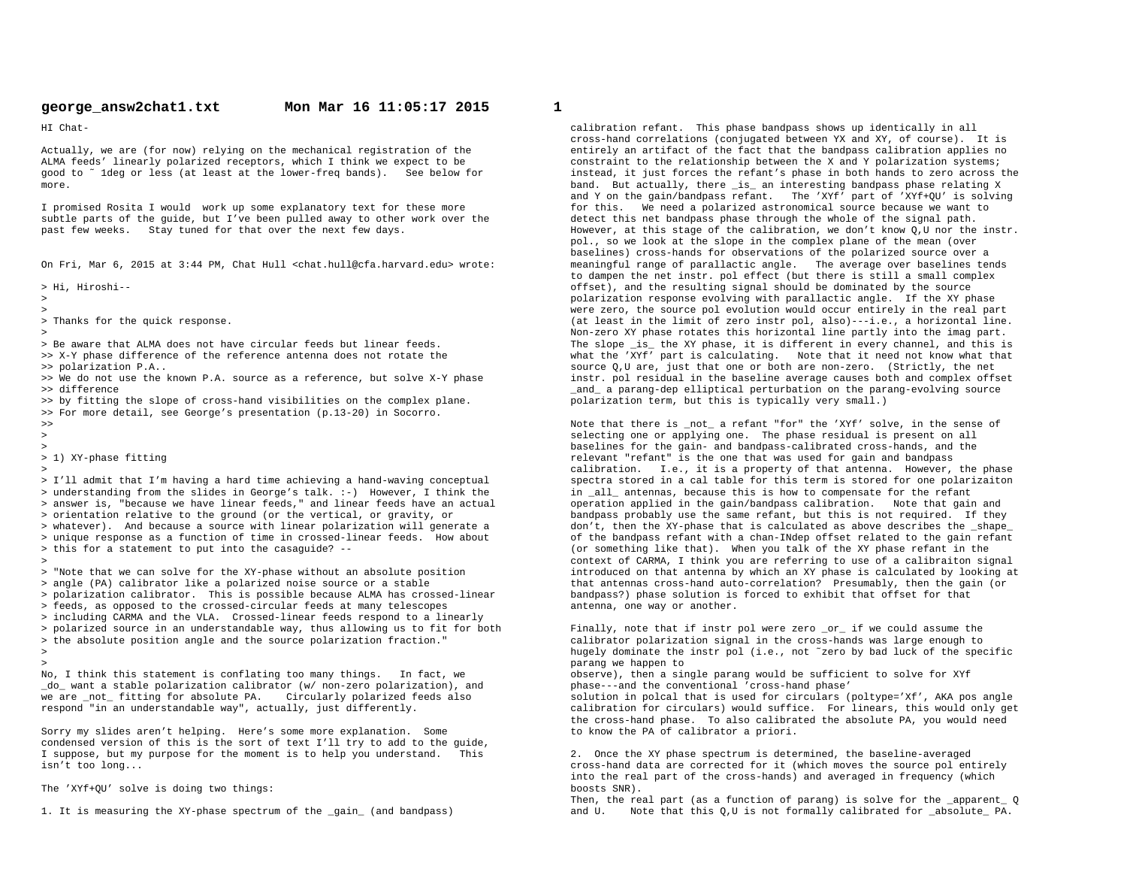HI Chat-

Actually, we are (for now) relying on the mechanical registration of the ALMA feeds' linearly polarized receptors, which I think we expect to be good to ˜ 1deg or less (at least at the lower-freq bands). See below formore.

I promised Rosita I would work up some explanatory text for these more subtle parts of the guide, but I've been pulled away to other work over thepast few weeks. Stay tuned for that over the next few days.

On Fri, Mar 6, 2015 at 3:44 PM, Chat Hull <chat.hull@cfa.harvard.edu> wrote:

> Hi, Hiroshi--

>>

> Thanks for the quick response.

>

 > Be aware that ALMA does not have circular feeds but linear feeds.>> X-Y phase difference of the reference antenna does not rotate the

>> polarization P.A..

 >> We do not use the known P.A. source as a reference, but solve X-Y phase>> difference

>> by fitting the slope of cross-hand visibilities on the complex plane.

>> For more detail, see George's presentation (p.13-20) in Socorro.

 $\rightarrow$ 

>

>>

> 1) XY-phase fitting

 > I'll admit that I'm having a hard time achieving a hand-waving conceptual > understanding from the slides in George's talk. :-) However, I think the > answer is, "because we have linear feeds," and linear feeds have an actual> orientation relative to the ground (or the vertical, or gravity, or > whatever). And because a source with linear polarization will generate a > unique response as a function of time in crossed-linear feeds. How about> this for a statement to put into the casaguide? --

>

 > "Note that we can solve for the XY-phase without an absolute position> angle (PA) calibrator like a polarized noise source or a stable > polarization calibrator. This is possible because ALMA has crossed-linear> feeds, as opposed to the crossed-circular feeds at many telescopes > including CARMA and the VLA. Crossed-linear feeds respond to a linearly > polarized source in an understandable way, thus allowing us to fit for both> the absolute position angle and the source polarization fraction."

 $\sim$ >

 No, I think this statement is conflating too many things. In fact, we \_do\_ want a stable polarization calibrator (w/ non-zero polarization), andwe are \_not\_ fitting for absolute PA. Circularly polarized feeds alsorespond "in an understandable way", actually, just differently.

Sorry my slides aren't helping. Here's some more explanation. Some condensed version of this is the sort of text I'll try to add to the guide, I suppose, but my purpose for the moment is to help you understand. Thisisn't too long...

The 'XYf+QU' solve is doing two things:

1. It is measuring the XY-phase spectrum of the \_gain\_ (and bandpass)

calibration refant. This phase bandpass shows up identically in all cross-hand correlations (conjugated between YX and XY, of course). It is entirely an artifact of the fact that the bandpass calibration applies no constraint to the relationship between the X and Y polarization systems; instead, it just forces the refant's phase in both hands to zero across theband. But actually, there \_is\_ an interesting bandpass phase relating X and Y on the gain/bandpass refant. The 'XYf' part of 'XYf+QU' is solvingfor this. We need a polarized astronomical source because we want todetect this net bandpass phase through the whole of the signal path. However, at this stage of the calibration, we don't know Q,U nor the instr.pol., so we look at the slope in the complex plane of the mean (over baselines) cross-hands for observations of the polarized source over a meaningful range of parallactic angle. The average over baselines tendsto dampen the net instr. pol effect (but there is still a small complexoffset), and the resulting signal should be dominated by the source polarization response evolving with parallactic angle. If the XY phase were zero, the source pol evolution would occur entirely in the real part (at least in the limit of zero instr pol, also)---i.e., a horizontal line. Non-zero XY phase rotates this horizontal line partly into the imag part. The slope \_is\_ the XY phase, it is different in every channel, and this is what the 'XYf' part is calculating. Note that it need not know what thatsource Q,U are, just that one or both are non-zero. (Strictly, the net instr. pol residual in the baseline average causes both and complex offset\_and\_ a parang-dep elliptical perturbation on the parang-evolving sourcepolarization term, but this is typically very small.)

Note that there is \_not\_ a refant "for" the 'XYf' solve, in the sense ofselecting one or applying one. The phase residual is present on all baselines for the gain- and bandpass-calibrated cross-hands, and therelevant "refant" is the one that was used for gain and bandpass calibration. I.e., it is a property of that antenna. However, the phase spectra stored in a cal table for this term is stored for one polarizaitonin \_all\_ antennas, because this is how to compensate for the refant operation applied in the gain/bandpass calibration. Note that gain and bandpass probably use the same refant, but this is not required. If they don't, then the XY-phase that is calculated as above describes the \_shape\_ of the bandpass refant with a chan-INdep offset related to the gain refant(or something like that). When you talk of the XY phase refant in the context of CARMA, I think you are referring to use of a calibraiton signal introduced on that antenna by which an XY phase is calculated by looking atthat antennas cross-hand auto-correlation? Presumably, then the gain (orbandpass?) phase solution is forced to exhibit that offset for thatantenna, one way or another.

Finally, note that if instr pol were zero \_or\_ if we could assume the calibrator polarization signal in the cross-hands was large enough to hugely dominate the instr pol (i.e., not ˜zero by bad luck of the specificparang we happen to

 observe), then a single parang would be sufficient to solve for XYfphase---and the conventional 'cross-hand phase'

 solution in polcal that is used for circulars (poltype='Xf', AKA pos angle calibration for circulars) would suffice. For linears, this would only getthe cross-hand phase. To also calibrated the absolute PA, you would needto know the PA of calibrator a priori.

2. Once the XY phase spectrum is determined, the baseline-averaged cross-hand data are corrected for it (which moves the source pol entirelyinto the real part of the cross-hands) and averaged in frequency (whichboosts SNR).

 Then, the real part (as a function of parang) is solve for the \_apparent\_ Qand U. Note that this Q,U is not formally calibrated for \_absolute\_ PA.